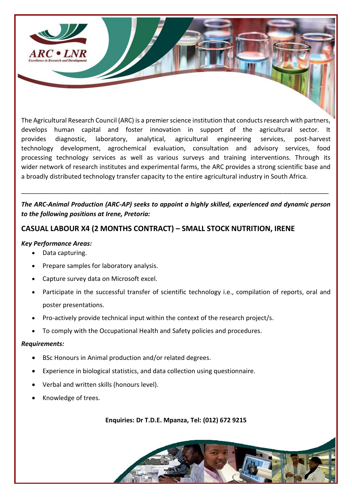

The Agricultural Research Council (ARC) is a premier science institution that conducts research with partners, develops human capital and foster innovation in support of the agricultural sector. It provides diagnostic, laboratory, analytical, agricultural engineering services, post-harvest technology development, agrochemical evaluation, consultation and advisory services, food processing technology services as well as various surveys and training interventions. Through its wider network of research institutes and experimental farms, the ARC provides a strong scientific base and a broadly distributed technology transfer capacity to the entire agricultural industry in South Africa.

## *The ARC-Animal Production (ARC-AP) seeks to appoint a highly skilled, experienced and dynamic person to the following positions at Irene, Pretoria:*

\_\_\_\_\_\_\_\_\_\_\_\_\_\_\_\_\_\_\_\_\_\_\_\_\_\_\_\_\_\_\_\_\_\_\_\_\_\_\_\_\_\_\_\_\_\_\_\_\_\_\_\_\_\_\_\_\_\_\_\_\_\_\_\_\_\_\_\_\_\_\_\_\_\_\_\_\_\_\_\_\_\_\_\_\_\_\_

# **CASUAL LABOUR X4 (2 MONTHS CONTRACT) – SMALL STOCK NUTRITION, IRENE**

## *Key Performance Areas:*

- Data capturing.
- Prepare samples for laboratory analysis.
- Capture survey data on Microsoft excel.
- Participate in the successful transfer of scientific technology i.e., compilation of reports, oral and poster presentations.
- Pro-actively provide technical input within the context of the research project/s.
- To comply with the Occupational Health and Safety policies and procedures.

## *Requirements:*

- BSc Honours in Animal production and/or related degrees.
- Experience in biological statistics, and data collection using questionnaire.
- Verbal and written skills (honours level).
- Knowledge of trees.

**Enquiries: Dr T.D.E. Mpanza, Tel: (012) 672 9215**

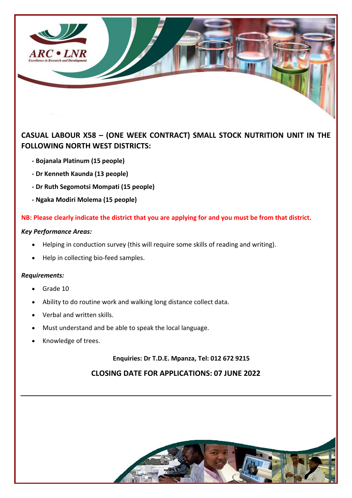

# **CASUAL LABOUR X58 – (ONE WEEK CONTRACT) SMALL STOCK NUTRITION UNIT IN THE FOLLOWING NORTH WEST DISTRICTS:**

- **- Bojanala Platinum (15 people)**
- **- Dr Kenneth Kaunda (13 people)**
- **- Dr Ruth Segomotsi Mompati (15 people)**
- **- Ngaka Modiri Molema (15 people)**

**NB: Please clearly indicate the district that you are applying for and you must be from that district.**

### *Key Performance Areas:*

- Helping in conduction survey (this will require some skills of reading and writing).
- Help in collecting bio-feed samples.

### *Requirements:*

- Grade 10
- Ability to do routine work and walking long distance collect data.
- Verbal and written skills.
- Must understand and be able to speak the local language.
- Knowledge of trees.

## **Enquiries: Dr T.D.E. Mpanza, Tel: 012 672 9215**

# **CLOSING DATE FOR APPLICATIONS: 07 JUNE 2022**